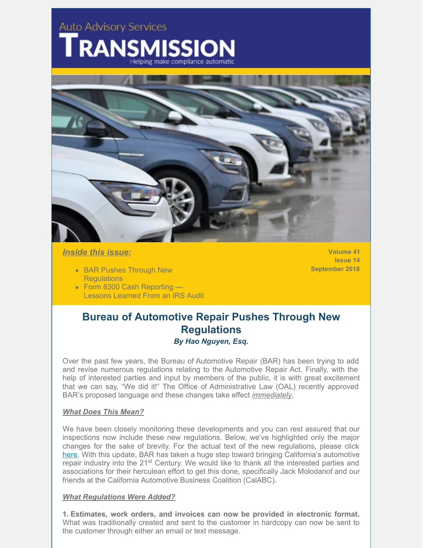# **Auto Advisory Services**



# *Inside this issue:*

- BAR Pushes Through New **Requlations**
- Form 8300 Cash Reporting Lessons Learned From an IRS Audit

**Volume 41 Issue 14 September 2018**

# **Bureau of Automotive Repair Pushes Through New Regulations** *By Hao Nguyen, Esq.*

Over the past few years, the Bureau of Automotive Repair (BAR) has been trying to add and revise numerous regulations relating to the Automotive Repair Act. Finally, with the help of interested parties and input by members of the public, it is with great excitement that we can say, "We did it!" The Office of Administrative Law (OAL) recently approved BAR's proposed language and these changes take effect *immediately*.

## *What Does This Mean?*

We have been closely monitoring these developments and you can rest assured that our inspections now include these new regulations. Below, we've highlighted only the major changes for the sake of brevity. For the actual text of the new regulations, please click [here](https://www.bar.ca.gov/pdf/Third_Modified_Text_EDA.pdf). With this update, BAR has taken a huge step toward bringing California's automotive repair industry into the 21<sup>st</sup> Century. We would like to thank all the interested parties and associations for their herculean effort to get this done, specifically Jack Molodanof and our friends at the California Automotive Business Coalition (CalABC).

#### *What Regulations Were Added?*

**1. Estimates, work orders, and invoices can now be provided in electronic format.** What was traditionally created and sent to the customer in hardcopy can now be sent to the customer through either an email or text message.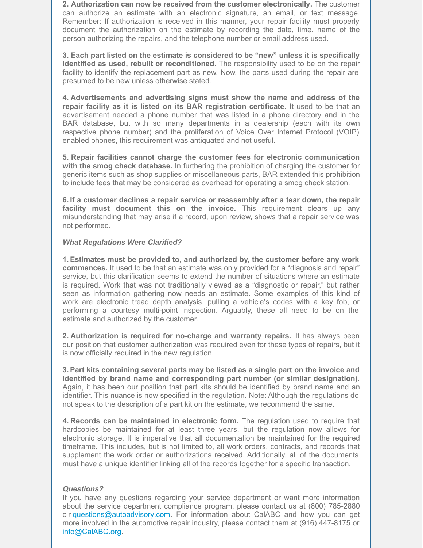**2. Authorization can now be received from the customer electronically.** The customer can authorize an estimate with an electronic signature, an email, or text message. Remember: If authorization is received in this manner, your repair facility must properly document the authorization on the estimate by recording the date, time, name of the person authorizing the repairs, and the telephone number or email address used.

**3. Each part listed on the estimate is considered to be "new" unless it is specifically identified as used, rebuilt or reconditioned**. The responsibility used to be on the repair facility to identify the replacement part as new. Now, the parts used during the repair are presumed to be new unless otherwise stated.

**4. Advertisements and advertising signs must show the name and address of the repair facility as it is listed on its BAR registration certificate.** It used to be that an advertisement needed a phone number that was listed in a phone directory and in the BAR database, but with so many departments in a dealership (each with its own respective phone number) and the proliferation of Voice Over Internet Protocol (VOIP) enabled phones, this requirement was antiquated and not useful.

**5. Repair facilities cannot charge the customer fees for electronic communication with the smog check database.** In furthering the prohibition of charging the customer for generic items such as shop supplies or miscellaneous parts, BAR extended this prohibition to include fees that may be considered as overhead for operating a smog check station.

**6. If a customer declines a repair service or reassembly after a tear down, the repair facility must document this on the invoice.** This requirement clears up any misunderstanding that may arise if a record, upon review, shows that a repair service was not performed.

#### *What Regulations Were Clarified?*

**1. Estimates must be provided to, and authorized by, the customer before any work commences.** It used to be that an estimate was only provided for a "diagnosis and repair" service, but this clarification seems to extend the number of situations where an estimate is required. Work that was not traditionally viewed as a "diagnostic or repair," but rather seen as information gathering now needs an estimate. Some examples of this kind of work are electronic tread depth analysis, pulling a vehicle's codes with a key fob, or performing a courtesy multi-point inspection. Arguably, these all need to be on the estimate and authorized by the customer.

**2. Authorization is required for no-charge and warranty repairs.** It has always been our position that customer authorization was required even for these types of repairs, but it is now officially required in the new regulation.

**3. Part kits containing several parts may be listed as a single part on the invoice and identified by brand name and corresponding part number (or similar designation).** Again, it has been our position that part kits should be identified by brand name and an identifier. This nuance is now specified in the regulation. Note: Although the regulations do not speak to the description of a part kit on the estimate, we recommend the same.

**4. Records can be maintained in electronic form.** The regulation used to require that hardcopies be maintained for at least three years, but the regulation now allows for electronic storage. It is imperative that all documentation be maintained for the required timeframe. This includes, but is not limited to, all work orders, contracts, and records that supplement the work order or authorizations received. Additionally, all of the documents must have a unique identifier linking all of the records together for a specific transaction.

#### *Questions?*

If you have any questions regarding your service department or want more information about the service department compliance program, please contact us at (800) 785-2880 o r [questions@autoadvisory.com](mailto:questions@autoadvisory.com). For information about CalABC and how you can get more involved in the automotive repair industry, please contact them at (916) 447-8175 or [info@CalABC.org](mailto:info@CalABC.org).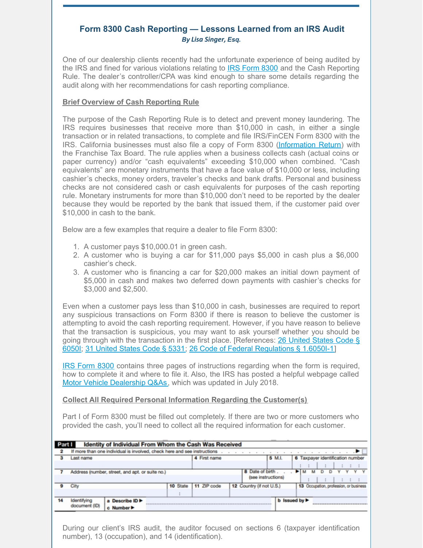# **Form 8300 Cash Reporting — Lessons Learned from an IRS Audit** *By Lisa Singer, Esq.*

One of our dealership clients recently had the unfortunate experience of being audited by the IRS and fined for various violations relating to **IRS [Form](https://www.irs.gov/pub/irs-pdf/f8300.pdf) 8300** and the Cash Reporting Rule. The dealer's controller/CPA was kind enough to share some details regarding the audit along with her recommendations for cash reporting compliance.

## **Brief Overview of Cash Reporting Rule**

The purpose of the Cash Reporting Rule is to detect and prevent money laundering. The IRS requires businesses that receive more than \$10,000 in cash, in either a single transaction or in related transactions, to complete and file IRS/FinCEN Form 8300 with the IRS. California businesses must also file a copy of Form 8300 [\(Information](https://www.ftb.ca.gov/forms/misc/4227a.pdf) Return) with the Franchise Tax Board. The rule applies when a business collects cash (actual coins or paper currency) and/or "cash equivalents" exceeding \$10,000 when combined. "Cash equivalents" are monetary instruments that have a face value of \$10,000 or less, including cashier's checks, money orders, traveler's checks and bank drafts. Personal and business checks are not considered cash or cash equivalents for purposes of the cash reporting rule. Monetary instruments for more than \$10,000 don't need to be reported by the dealer because they would be reported by the bank that issued them, if the customer paid over \$10,000 in cash to the bank.

Below are a few examples that require a dealer to file Form 8300:

- 1. A customer pays \$10,000.01 in green cash.
- 2. A customer who is buying a car for \$11,000 pays \$5,000 in cash plus a \$6,000 cashier's check.
- 3. A customer who is financing a car for \$20,000 makes an initial down payment of \$5,000 in cash and makes two deferred down payments with cashier's checks for \$3,000 and \$2,500.

Even when a customer pays less than \$10,000 in cash, businesses are required to report any suspicious transactions on Form 8300 if there is reason to believe the customer is attempting to avoid the cash reporting requirement. However, if you have reason to believe that the transaction is suspicious, you may want to ask yourself whether you should be going through with the transaction in the first place. [\[References:](https://www.law.cornell.edu/uscode/text/26/6050I) 26 United States Code § 6050I; 31 [United](https://www.law.cornell.edu/uscode/text/31/5331) States Code § 5331; 26 Code of Federal [Regulations](https://www.law.cornell.edu/cfr/text/26/1.6050I-1) § 1.6050I-1]

IRS [Form](https://www.irs.gov/pub/irs-pdf/f8300.pdf) 8300 contains three pages of instructions regarding when the form is required, how to complete it and where to file it. Also, the IRS has posted a helpful webpage called Motor Vehicle [Dealership](https://www.irs.gov/businesses/small-businesses-self-employed/report-of-cash-payments-over-10000-received-in-a-trade-or-business-motor-vehicle-dealership-qas) Q&As, which was updated in July 2018.

# **Collect All Required Personal Information Regarding the Customer(s)**

Part I of Form 8300 must be filled out completely. If there are two or more customers who provided the cash, you'll need to collect all the required information for each customer.

| Part I       |                                                                          | Identity of Individual From Whom the Cash Was Received |              |             |                                       |                                          |                                        |  |  |  |  |  |
|--------------|--------------------------------------------------------------------------|--------------------------------------------------------|--------------|-------------|---------------------------------------|------------------------------------------|----------------------------------------|--|--|--|--|--|
| $\mathbf{2}$ | If more than one individual is involved, check here and see instructions |                                                        |              |             |                                       |                                          |                                        |  |  |  |  |  |
|              | Last name                                                                |                                                        | 4 First name |             | 5 M.I.                                | 6 Taxpayer identification number         |                                        |  |  |  |  |  |
|              |                                                                          | Address (number, street, and apt. or suite no.)        |              |             | 8 Date of birth<br>(see instructions) |                                          | D <sub>D</sub>                         |  |  |  |  |  |
|              | City                                                                     |                                                        | 10 State     | 11 ZIP code | 12 Country (if not U.S.)              |                                          | 13 Occupation, profession, or business |  |  |  |  |  |
| 14           | Identifying<br>document (ID)                                             | a Describe ID<br>c Number▶                             |              |             |                                       | <b>b</b> Issued by $\blacktriangleright$ |                                        |  |  |  |  |  |

During our client's IRS audit, the auditor focused on sections 6 (taxpayer identification number), 13 (occupation), and 14 (identification).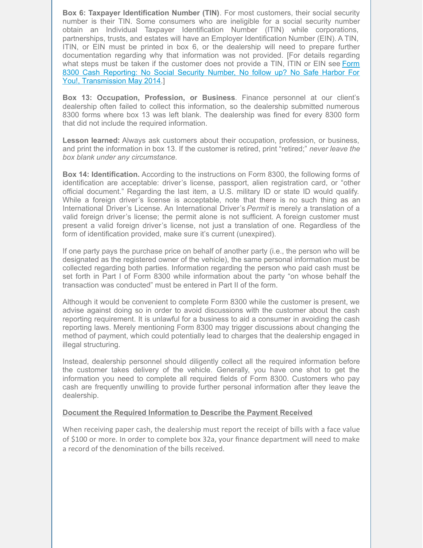**Box 6: Taxpayer Identification Number (TIN)**. For most customers, their social security number is their TIN. Some consumers who are ineligible for a social security number obtain an Individual Taxpayer Identification Number (ITIN) while corporations, partnerships, trusts, and estates will have an Employer Identification Number (EIN). A TIN, ITIN, or EIN must be printed in box 6, or the dealership will need to prepare further documentation regarding why that information was not provided. [For details regarding what steps must be taken if the customer does not provide a TIN, ITIN or EIN see Form 8300 Cash Reporting: No Social Security Number, No follow up? No Safe Harbor For You!, [Transmission](http://files.constantcontact.com/be1db20b001/27c1d279-6363-4263-847d-4d852f832b63.pdf) May 2014.]

**Box 13: Occupation, Profession, or Business**. Finance personnel at our client's dealership often failed to collect this information, so the dealership submitted numerous 8300 forms where box 13 was left blank. The dealership was fined for every 8300 form that did not include the required information.

**Lesson learned:** Always ask customers about their occupation, profession, or business, and print the information in box 13. If the customer is retired, print "retired;" *never leave the box blank under any circumstance*.

**Box 14: Identification.** According to the instructions on Form 8300, the following forms of identification are acceptable: driver's license, passport, alien registration card, or "other official document." Regarding the last item, a U.S. military ID or state ID would qualify. While a foreign driver's license is acceptable, note that there is no such thing as an International Driver's License. An International Driver's *Permit* is merely a translation of a valid foreign driver's license; the permit alone is not sufficient. A foreign customer must present a valid foreign driver's license, not just a translation of one. Regardless of the form of identification provided, make sure it's current (unexpired).

If one party pays the purchase price on behalf of another party (i.e., the person who will be designated as the registered owner of the vehicle), the same personal information must be collected regarding both parties. Information regarding the person who paid cash must be set forth in Part I of Form 8300 while information about the party "on whose behalf the transaction was conducted" must be entered in Part II of the form.

Although it would be convenient to complete Form 8300 while the customer is present, we advise against doing so in order to avoid discussions with the customer about the cash reporting requirement. It is unlawful for a business to aid a consumer in avoiding the cash reporting laws. Merely mentioning Form 8300 may trigger discussions about changing the method of payment, which could potentially lead to charges that the dealership engaged in illegal structuring.

Instead, dealership personnel should diligently collect all the required information before the customer takes delivery of the vehicle. Generally, you have one shot to get the information you need to complete all required fields of Form 8300. Customers who pay cash are frequently unwilling to provide further personal information after they leave the dealership.

## **Document the Required Information to Describe the Payment Received**

When receiving paper cash, the dealership must report the receipt of bills with a face value of \$100 or more. In order to complete box 32a, your finance department will need to make a record of the denomination of the bills received.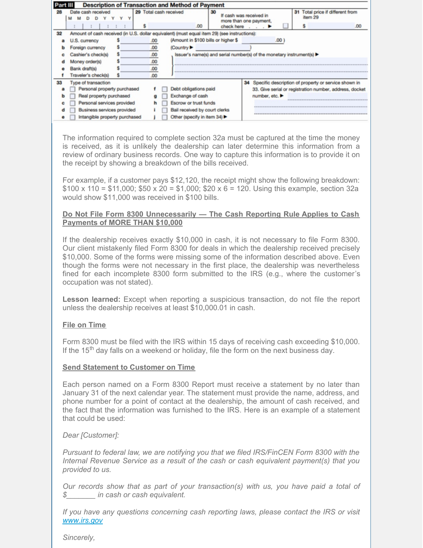| <b>Description of Transaction and Method of Payment</b> |                                                                                              |     |                                                         |                                                                       |                                                         |  |                                                      |                                  |  |  |  |  |  |  |
|---------------------------------------------------------|----------------------------------------------------------------------------------------------|-----|---------------------------------------------------------|-----------------------------------------------------------------------|---------------------------------------------------------|--|------------------------------------------------------|----------------------------------|--|--|--|--|--|--|
| 28                                                      | cash received<br>v                                                                           |     |                                                         | 29 Total cash received                                                | 30<br>If cash was received in<br>more than one payment, |  | item 29                                              | 31 Total price if different from |  |  |  |  |  |  |
|                                                         |                                                                                              |     |                                                         | .00                                                                   | check here                                              |  |                                                      | .00 <sub>1</sub>                 |  |  |  |  |  |  |
| 32                                                      | Amount of cash received (in U.S. dollar equivalent) (must equal item 29) (see instructions): |     |                                                         |                                                                       |                                                         |  |                                                      |                                  |  |  |  |  |  |  |
|                                                         | U.S. currency                                                                                | .00 | (Amount in \$100 bills or higher \$<br>.00 <sub>1</sub> |                                                                       |                                                         |  |                                                      |                                  |  |  |  |  |  |  |
|                                                         | Foreign currency                                                                             |     | .00                                                     | (Country ▶                                                            |                                                         |  |                                                      |                                  |  |  |  |  |  |  |
|                                                         | Cashier's check(s)                                                                           |     | .00                                                     | Issuer's name(s) and serial number(s) of the monetary instrument(s) ▶ |                                                         |  |                                                      |                                  |  |  |  |  |  |  |
|                                                         | Money order(s)                                                                               | .00 |                                                         |                                                                       |                                                         |  |                                                      |                                  |  |  |  |  |  |  |
|                                                         | Bank draft(s)                                                                                | .00 |                                                         |                                                                       |                                                         |  |                                                      |                                  |  |  |  |  |  |  |
|                                                         | Traveler's check(s)                                                                          | .00 |                                                         |                                                                       |                                                         |  |                                                      |                                  |  |  |  |  |  |  |
| 33                                                      | Type of transaction                                                                          |     |                                                         |                                                                       | 34                                                      |  | Specific description of property or service shown in |                                  |  |  |  |  |  |  |
|                                                         | Personal property purchased                                                                  |     | Debt obligations paid                                   |                                                                       | 33. Give serial or registration number, address, docket |  |                                                      |                                  |  |  |  |  |  |  |
|                                                         | Real property purchased                                                                      |     |                                                         | Exchange of cash<br>number, etc. ▶                                    |                                                         |  |                                                      |                                  |  |  |  |  |  |  |
|                                                         | Personal services provided                                                                   |     | n                                                       | <b>Escrow or trust funds</b>                                          |                                                         |  |                                                      |                                  |  |  |  |  |  |  |
|                                                         | Business services provided                                                                   |     |                                                         | Bail received by court clerks                                         |                                                         |  |                                                      |                                  |  |  |  |  |  |  |
|                                                         | Intangible property purchased                                                                |     |                                                         | Other (specify in item 34) $\blacktriangleright$                      |                                                         |  |                                                      |                                  |  |  |  |  |  |  |

The information required to complete section 32a must be captured at the time the money is received, as it is unlikely the dealership can later determine this information from a review of ordinary business records. One way to capture this information is to provide it on the receipt by showing a breakdown of the bills received.

For example, if a customer pays \$12,120, the receipt might show the following breakdown:  $$100 \times 110 = $11,000$ ;  $$50 \times 20 = $1,000$ ;  $$20 \times 6 = 120$ . Using this example, section 32a would show \$11,000 was received in \$100 bills.

## **Do Not File Form 8300 Unnecessarily — The Cash Reporting Rule Applies to Cash Payments of MORE THAN \$10,000**

If the dealership receives exactly \$10,000 in cash, it is not necessary to file Form 8300. Our client mistakenly filed Form 8300 for deals in which the dealership received precisely \$10,000. Some of the forms were missing some of the information described above. Even though the forms were not necessary in the first place, the dealership was nevertheless fined for each incomplete 8300 form submitted to the IRS (e.g., where the customer's occupation was not stated).

**Lesson learned:** Except when reporting a suspicious transaction, do not file the report unless the dealership receives at least \$10,000.01 in cash.

#### **File on Time**

Form 8300 must be filed with the IRS within 15 days of receiving cash exceeding \$10,000. If the 15<sup>th</sup> day falls on a weekend or holiday, file the form on the next business day.

#### **Send Statement to Customer on Time**

Each person named on a Form 8300 Report must receive a statement by no later than January 31 of the next calendar year. The statement must provide the name, address, and phone number for a point of contact at the dealership, the amount of cash received, and the fact that the information was furnished to the IRS. Here is an example of a statement that could be used:

# *Dear [Customer]:*

*Pursuant to federal law, we are notifying you that we filed IRS/FinCEN Form 8300 with the Internal Revenue Service as a result of the cash or cash equivalent payment(s) that you provided to us.*

*Our records show that as part of your transaction(s) with us, you have paid a total of \$\_\_\_\_\_\_\_ in cash or cash equivalent.*

*If you have any questions concerning cash reporting laws, please contact the IRS or visit [www.irs.gov](http://www.irs.gov)*

*Sincerely,*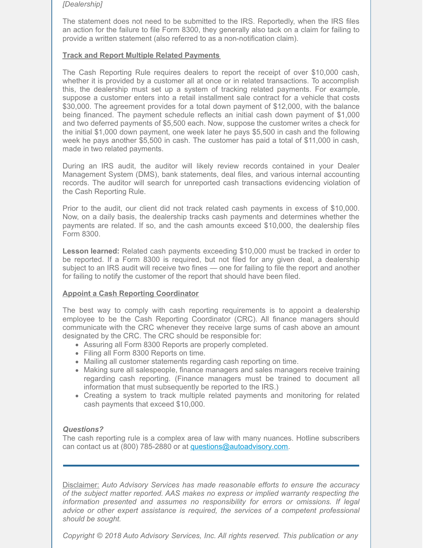#### *[Dealership]*

The statement does not need to be submitted to the IRS. Reportedly, when the IRS files an action for the failure to file Form 8300, they generally also tack on a claim for failing to provide a written statement (also referred to as a non-notification claim).

## **Track and Report Multiple Related Payments**

The Cash Reporting Rule requires dealers to report the receipt of over \$10,000 cash, whether it is provided by a customer all at once or in related transactions. To accomplish this, the dealership must set up a system of tracking related payments. For example, suppose a customer enters into a retail installment sale contract for a vehicle that costs \$30,000. The agreement provides for a total down payment of \$12,000, with the balance being financed. The payment schedule reflects an initial cash down payment of \$1,000 and two deferred payments of \$5,500 each. Now, suppose the customer writes a check for the initial \$1,000 down payment, one week later he pays \$5,500 in cash and the following week he pays another \$5,500 in cash. The customer has paid a total of \$11,000 in cash, made in two related payments.

During an IRS audit, the auditor will likely review records contained in your Dealer Management System (DMS), bank statements, deal files, and various internal accounting records. The auditor will search for unreported cash transactions evidencing violation of the Cash Reporting Rule.

Prior to the audit, our client did not track related cash payments in excess of \$10,000. Now, on a daily basis, the dealership tracks cash payments and determines whether the payments are related. If so, and the cash amounts exceed \$10,000, the dealership files Form 8300.

**Lesson learned:** Related cash payments exceeding \$10,000 must be tracked in order to be reported. If a Form 8300 is required, but not filed for any given deal, a dealership subject to an IRS audit will receive two fines — one for failing to file the report and another for failing to notify the customer of the report that should have been filed.

# **Appoint a Cash Reporting Coordinator**

The best way to comply with cash reporting requirements is to appoint a dealership employee to be the Cash Reporting Coordinator (CRC). All finance managers should communicate with the CRC whenever they receive large sums of cash above an amount designated by the CRC. The CRC should be responsible for:

- Assuring all Form 8300 Reports are properly completed.
- Filing all Form 8300 Reports on time.
- Mailing all customer statements regarding cash reporting on time.
- Making sure all salespeople, finance managers and sales managers receive training regarding cash reporting. (Finance managers must be trained to document all information that must subsequently be reported to the IRS.)
- Creating a system to track multiple related payments and monitoring for related cash payments that exceed \$10,000.

# *Questions?*

The cash reporting rule is a complex area of law with many nuances. Hotline subscribers can contact us at (800) 785-2880 or at [questions@autoadvisory.com](mailto:questions@autoadvisory.com).

Disclaimer: *Auto Advisory Services has made reasonable efforts to ensure the accuracy of the subject matter reported. AAS makes no express or implied warranty respecting the information presented and assumes no responsibility for errors or omissions. If legal advice or other expert assistance is required, the services of a competent professional should be sought.*

*Copyright © 2018 Auto Advisory Services, Inc. All rights reserved. This publication or any*